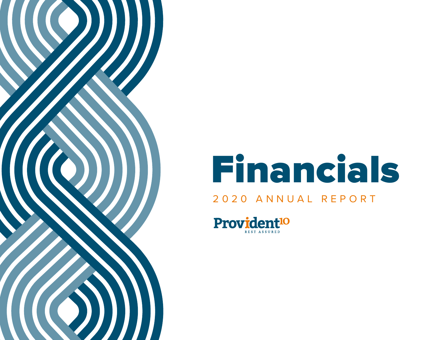

# Financials

# 2020 ANNUAL REPORT

Provident<sup>10</sup> REST ASSURED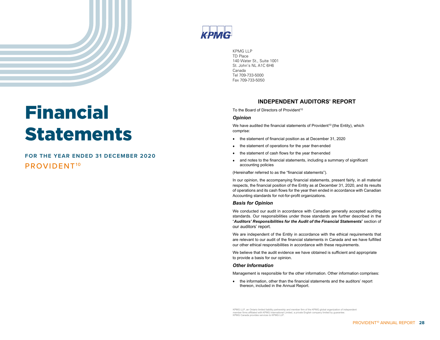# Financial Statements

# PROVIDENT10 **FOR THE YEAR ENDED 31 DECEMBER 2020**



KPMG LLP TD Place 140 Water St., Suite 1001 St. John's NL A1C 6H6 Canada Tel 709-733-5000 Fax 709-733-5050

#### **INDEPENDENT AUDITORS' REPORT**

To the Board of Directors of Provident<sup>10</sup>

#### *Opinion*

We have audited the financial statements of Provident<sup>10</sup> (the Entity), which comprise:

- the statement of financial position as at December 31, 2020
- the statement of operations for the year then ended
- the statement of cash flows for the year thenended
- and notes to the financial statements, including a summary of significant accounting policies

(Hereinafter referred to as the "financial statements").

In our opinion, the accompanying financial statements, present fairly, in all material respects, the financial position of the Entity as at December 31, 2020, and its results of operations and its cash flows for the year then ended in accordance with Canadian Accounting standards for not-for-profit organizations.

#### *Basis for Opinion*

We conducted our audit in accordance with Canadian generally accepted auditing standards. Our responsibilities under those standards are further described in the "*Auditors' Responsibilities for the Audit of the Financial Statements*" section of our auditors' report.

We are independent of the Entity in accordance with the ethical requirements that are relevant to our audit of the financial statements in Canada and we have fulfilled our other ethical responsibilities in accordance with these requirements.

We believe that the audit evidence we have obtained is sufficient and appropriate to provide a basis for our opinion.

#### *Other Information*

Management is responsible for the other information. Other information comprises:

• the information, other than the financial statements and the auditors' report thereon, included in the Annual Report.

KPMG LLP, an Ontario limited liability partnership and member firm of the KPMG global organization of independent member firms affiliated with KPMG International Limited, a private English company limited by guarantee. KPMG Canada provides services to KPMG LLP.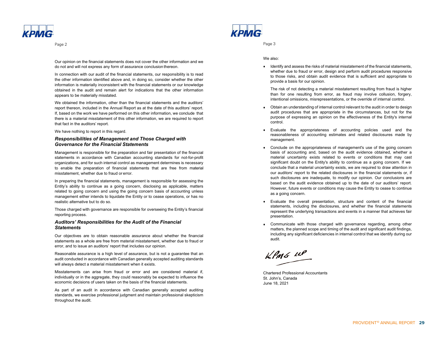

Page 2

Our opinion on the financial statements does not cover the other information and we do not and will not express any form of assurance conclusion thereon.

In connection with our audit of the financial statements, our responsibility is to read the other information identified above and, in doing so, consider whether the other information is materially inconsistent with the financial statements or our knowledge obtained in the audit and remain alert for indications that the other information appears to be materially misstated.

We obtained the information, other than the financial statements and the auditors' report thereon, included in the Annual Report as at the date of this auditors' report. If, based on the work we have performed on this other information, we conclude that there is a material misstatement of this other information, we are required to report that fact in the auditors' report.

We have nothing to report in this regard.

#### *Responsibilities of Management and Those Charged with Governance for the Financial Statements*

Management is responsible for the preparation and fair presentation of the financial statements in accordance with Canadian accounting standards for not -for -profit organizations, and for such internal control as management determines is necessary to enable the preparation of financial statements that are free from material misstatement, whether due to fraud or error.

In preparing the financial statements, management is responsible for assessing the Entity's ability to continue as a going concern, disclosing as applicable, matters related to going concern and using the going concern basis of accounting unless management either intends to liquidate the Entity or to cease operations, or has no realistic alternative but to do so.

Those charged with governance are responsible for overseeing the Entity's financial reporting process.

#### *Auditors' Responsibilities for the Audit of the Financial Statements*

Our objectives are to obtain reasonable assurance about whether the financial statements as a whole are free from material misstatement, whether due to fraud or error, and to issue an auditors' report that includes our opinion.

Reasonable assurance is a high level of assurance, but is not a guarantee that an audit conducted in accordance with Canadian generally accepted auditing standards will always detect a material misstatement when it exists.

Misstatements can arise from fraud or error and are considered material if, individually or in the aggregate, they could reasonably be expected to influence the economic decisions of users taken on the basis of the financial statements.

As part of an audit in accordance with Canadian generally accepted auditing standards, we exercise professional judgment and maintain professional skepticism throughout the audit.



Page 3

#### We also:

• Identify and assess the risks of material misstatement of the financial statements, whether due to fraud or error, design and perform audit procedures responsive to those risks, and obtain audit evidence that is sufficient and appropriate to provide a basis for our opinion.

The risk of not detecting a material misstatement resulting from fraud is higher than for one resulting from error, as fraud may involve collusion, forgery, intentional omissions, misrepresentations, or the override of internal control.

- Obtain an understanding of internal control relevant to the audit in order to design audit procedures that are appropriate in the circumstances, but not for the purpose of expressing an opinion on the effectiveness of the Entity's internal control.
- Evaluate the appropriateness of accounting policies used and the reasonableness of accounting estimates and related disclosures made by management.
- Conclude on the appropriateness of management's use of the going concern basis of accounting and, based on the audit evidence obtained, whether a material uncertainty exists related to events or conditions that may cast significant doubt on the Entity's ability to continue as a going concern. If we conclude that a material uncertainty exists, we are required to draw attention in our auditors' report to the related disclosures in the financial statements or, if such disclosures are inadequate, to modify our opinion. Our conclusions are based on the audit evidence obtained up to the date of our auditors' report. However, future events or conditions may cause the Entity to cease to continue as a going concern.
- Evaluate the overall presentation, structure and content of the financial statements, including the disclosures, and whether the financial statements represent the underlying transactions and events in a manner that achieves fair presentation.
- Communicate with those charged with governance regarding, among other matters, the planned scope and timing of the audit and significant audit findings, including any significant deficiencies in internal control that we identify during our audit.

 $k$ *PMG*  $\mu$ 

Chartered Professional Accountants St. John's, Canada June 18, 2021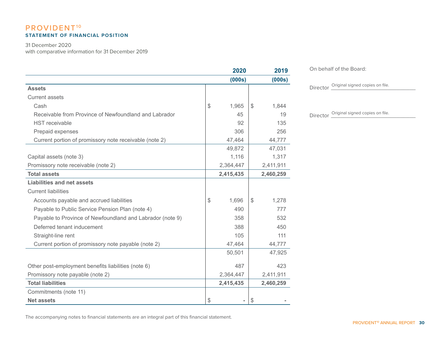# PROVIDENT<sup>10</sup> **STATEMENT OF FINANCIAL POSITION**

31 December 2020

with comparative information for 31 December 2019

|                                                           | 2020        | 2019        |
|-----------------------------------------------------------|-------------|-------------|
|                                                           | (000s)      | (000s)      |
| <b>Assets</b>                                             |             |             |
| <b>Current assets</b>                                     |             |             |
| Cash                                                      | \$<br>1,965 | \$<br>1,844 |
| Receivable from Province of Newfoundland and Labrador     | 45          | 19          |
| <b>HST</b> receivable                                     | 92          | 135         |
| Prepaid expenses                                          | 306         | 256         |
| Current portion of promissory note receivable (note 2)    | 47,464      | 44,777      |
|                                                           | 49,872      | 47,031      |
| Capital assets (note 3)                                   | 1,116       | 1,317       |
| Promissory note receivable (note 2)                       | 2,364,447   | 2,411,911   |
| <b>Total assets</b>                                       | 2,415,435   | 2,460,259   |
| Liabilities and net assets                                |             |             |
| <b>Current liabilities</b>                                |             |             |
| Accounts payable and accrued liabilities                  | \$<br>1,696 | \$<br>1,278 |
| Payable to Public Service Pension Plan (note 4)           | 490         | 777         |
| Payable to Province of Newfoundland and Labrador (note 9) | 358         | 532         |
| Deferred tenant inducement                                | 388         | 450         |
| Straight-line rent                                        | 105         | 111         |
| Current portion of promissory note payable (note 2)       | 47,464      | 44,777      |
|                                                           | 50,501      | 47,925      |
| Other post-employment benefits liabilities (note 6)       | 487         | 423         |
| Promissory note payable (note 2)                          | 2,364,447   | 2,411,911   |
| <b>Total liabilities</b>                                  | 2,415,435   | 2,460,259   |
| Commitments (note 11)                                     |             |             |
| <b>Net assets</b>                                         | \$<br>Ξ.    | \$          |

On behalf of the Board:

Director <u>Original signed copies on file</u>.

Director  $\frac{\text{Original signed copies on file}}{\text{Of}}$ 

The accompanying notes to financial statements are an integral part of this financial statement.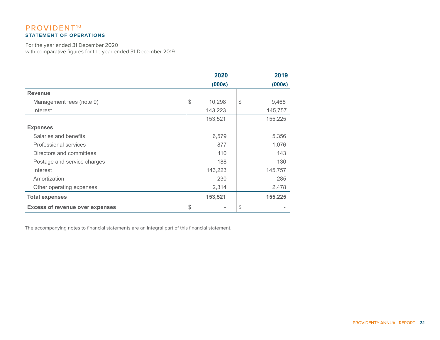# PROVIDENT<sup>10</sup> **STATEMENT OF OPERATIONS**

For the year ended 31 December 2020 with comparative figures for the year ended 31 December 2019

|                                        | 2020                    | 2019                   |
|----------------------------------------|-------------------------|------------------------|
|                                        | (000s)                  | (000s)                 |
| <b>Revenue</b>                         |                         |                        |
| Management fees (note 9)               | $\frac{1}{2}$<br>10,298 | $\frac{1}{2}$<br>9,468 |
| Interest                               | 143,223                 | 145,757                |
|                                        | 153,521                 | 155,225                |
| <b>Expenses</b>                        |                         |                        |
| Salaries and benefits                  | 6,579                   | 5,356                  |
| Professional services                  | 877                     | 1,076                  |
| Directors and committees               | 110                     | 143                    |
| Postage and service charges            | 188                     | 130                    |
| Interest                               | 143,223                 | 145,757                |
| Amortization                           | 230                     | 285                    |
| Other operating expenses               | 2,314                   | 2,478                  |
| <b>Total expenses</b>                  | 153,521                 | 155,225                |
| <b>Excess of revenue over expenses</b> | \$                      | $\frac{1}{2}$          |

The accompanying notes to financial statements are an integral part of this financial statement.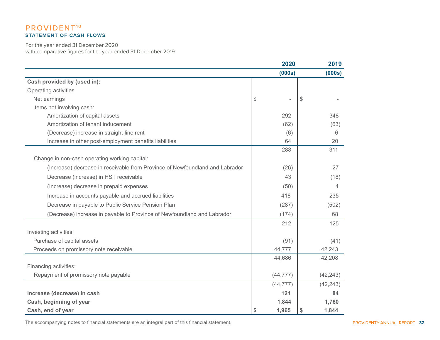# PROVIDENT<sup>10</sup> **STATEMENT OF CASH FLOWS**

For the year ended 31 December 2020 with comparative figures for the year ended 31 December 2019

|                                                                              | 2020        | 2019          |           |
|------------------------------------------------------------------------------|-------------|---------------|-----------|
|                                                                              | (000s)      |               | (000s)    |
| Cash provided by (used in):                                                  |             |               |           |
| Operating activities                                                         |             |               |           |
| Net earnings                                                                 | \$          | $\mathcal{S}$ |           |
| Items not involving cash:                                                    |             |               |           |
| Amortization of capital assets                                               | 292         |               | 348       |
| Amortization of tenant inducement                                            | (62)        |               | (63)      |
| (Decrease) increase in straight-line rent                                    | (6)         |               | 6         |
| Increase in other post-employment benefits liabilities                       | 64          |               | 20        |
|                                                                              | 288         |               | 311       |
| Change in non-cash operating working capital:                                |             |               |           |
| (Increase) decrease in receivable from Province of Newfoundland and Labrador | (26)        |               | 27        |
| Decrease (increase) in HST receivable                                        | 43          |               | (18)      |
| (Increase) decrease in prepaid expenses                                      | (50)        |               | 4         |
| Increase in accounts payable and accrued liabilities                         | 418         |               | 235       |
| Decrease in payable to Public Service Pension Plan                           | (287)       |               | (502)     |
| (Decrease) increase in payable to Province of Newfoundland and Labrador      | (174)       |               | 68        |
|                                                                              | 212         |               | 125       |
| Investing activities:                                                        |             |               |           |
| Purchase of capital assets                                                   | (91)        |               | (41)      |
| Proceeds on promissory note receivable                                       | 44,777      |               | 42,243    |
|                                                                              | 44,686      |               | 42,208    |
| Financing activities:                                                        |             |               |           |
| Repayment of promissory note payable                                         | (44, 777)   |               | (42, 243) |
|                                                                              | (44, 777)   |               | (42, 243) |
| Increase (decrease) in cash                                                  | 121         |               | 84        |
| Cash, beginning of year                                                      | 1,844       |               | 1,760     |
| Cash, end of year                                                            | \$<br>1,965 | \$            | 1,844     |

The accompanying notes to financial statements are an integral part of this financial statement.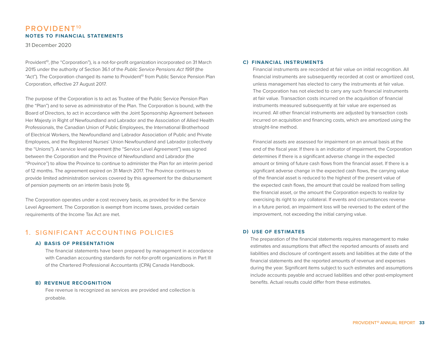31 December 2020

Provident<sup>10</sup>, (the "Corporation"), is a not-for-profit organization incorporated on 31 March 2015 under the authority of Section 36.1 of the *Public Service Pensions Act 1991* (the "Act"). The Corporation changed its name to Provident<sup>10</sup> from Public Service Pension Plan Corporation, effective 27 August 2017.

The purpose of the Corporation is to act as Trustee of the Public Service Pension Plan (the "Plan") and to serve as administrator of the Plan. The Corporation is bound, with the Board of Directors, to act in accordance with the Joint Sponsorship Agreement between Her Majesty in Right of Newfoundland and Labrador and the Association of Allied Health Professionals, the Canadian Union of Public Employees, the International Brotherhood of Electrical Workers, the Newfoundland and Labrador Association of Public and Private Employees, and the Registered Nurses' Union Newfoundland and Labrador (collectively the "Unions"). A service level agreement (the "Service Level Agreement") was signed between the Corporation and the Province of Newfoundland and Labrador (the "Province") to allow the Province to continue to administer the Plan for an interim period of 12 months. The agreement expired on 31 March 2017. The Province continues to provide limited administration services covered by this agreement for the disbursement of pension payments on an interim basis (note 9).

The Corporation operates under a cost recovery basis, as provided for in the Service Level Agreement. The Corporation is exempt from income taxes, provided certain requirements of the Income Tax Act are met.

# 1. SIGNIFICANT ACCOUNTING POLICIES

#### **A) BASIS OF PRESENTATION**

The financial statements have been prepared by management in accordance with Canadian accounting standards for not-for-profit organizations in Part Ill of the Chartered Professional Accountants (CPA) Canada Handbook.

#### **B) REVENUE RECOGNITION**

Fee revenue is recognized as services are provided and collection is probable.

#### **C) FINANCIAL INSTRUMENTS**

Financial instruments are recorded at fair value on initial recognition. All financial instruments are subsequently recorded at cost or amortized cost, unless management has elected to carry the instruments at fair value. The Corporation has not elected to carry any such financial instruments at fair value. Transaction costs incurred on the acquisition of financial instruments measured subsequently at fair value are expensed as incurred. All other financial instruments are adjusted by transaction costs incurred on acquisition and financing costs, which are amortized using the straight-line method.

Financial assets are assessed for impairment on an annual basis at the end of the fiscal year. If there is an indicator of impairment, the Corporation determines if there is a significant adverse change in the expected amount or timing of future cash flows from the financial asset. If there is a significant adverse change in the expected cash flows, the carrying value of the financial asset is reduced to the highest of the present value of the expected cash flows, the amount that could be realized from selling the financial asset, or the amount the Corporation expects to realize by exercising its right to any collateral. If events and circumstances reverse in a future period, an impairment loss will be reversed to the extent of the improvement, not exceeding the initial carrying value.

#### **D) USE OF ESTIMATES**

The preparation of the financial statements requires management to make estimates and assumptions that affect the reported amounts of assets and liabilities and disclosure of contingent assets and liabilities at the date of the financial statements and the reported amounts of revenue and expenses during the year. Significant items subject to such estimates and assumptions include accounts payable and accrued liabilities and other post-employment benefits. Actual results could differ from these estimates.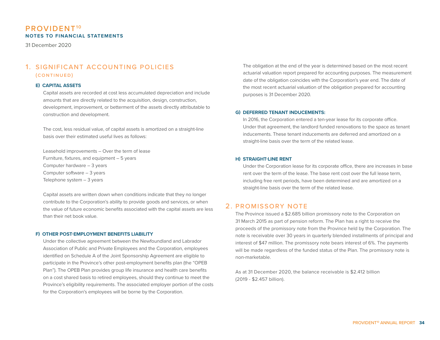31 December 2020

# 1. SIGNIFICANT ACCOUNTING POLICIES (continued)

#### **E) CAPITAL ASSETS**

Capital assets are recorded at cost less accumulated depreciation and include amounts that are directly related to the acquisition, design, construction, development, improvement, or betterment of the assets directly attributable to construction and development.

The cost, less residual value, of capital assets is amortized on a straight-line basis over their estimated useful lives as follows:

Leasehold improvements – Over the term of lease Furniture, fixtures, and equipment – 5 years Computer hardware – 3 years Computer software – 3 years Telephone system – 3 years

Capital assets are written down when conditions indicate that they no longer contribute to the Corporation's ability to provide goods and services, or when the value of future economic benefits associated with the capital assets are less than their net book value.

#### **F) OTHER POST-EMPLOYMENT BENEFITS LIABILITY**

Under the collective agreement between the Newfoundland and Labrador Association of Public and Private Employees and the Corporation, employees identified on Schedule A of the Joint Sponsorship Agreement are eligible to participate in the Province's other post-employment benefits plan (the "OPEB Plan"). The OPEB Plan provides group life insurance and health care benefits on a cost shared basis to retired employees, should they continue to meet the Province's eligibility requirements. The associated employer portion of the costs for the Corporation's employees will be borne by the Corporation.

The obligation at the end of the year is determined based on the most recent actuarial valuation report prepared for accounting purposes. The measurement date of the obligation coincides with the Corporation's year end. The date of the most recent actuarial valuation of the obligation prepared for accounting purposes is 31 December 2020.

#### **G) DEFERRED TENANT INDUCEMENTS:**

In 2016, the Corporation entered a ten-year lease for its corporate office. Under that agreement, the landlord funded renovations to the space as tenant inducements. These tenant inducements are deferred and amortized on a straight-line basis over the term of the related lease.

#### **H) STRAIGHT-LINE RENT**

Under the Corporation lease for its corporate office, there are increases in base rent over the term of the lease. The base rent cost over the full lease term, including free rent periods, have been determined and are amortized on a straight-line basis over the term of the related lease.

## 2. PROMISSORY NOTE

The Province issued a \$2.685 billion promissory note to the Corporation on 31 March 2015 as part of pension reform. The Plan has a right to receive the proceeds of the promissory note from the Province held by the Corporation. The note is receivable over 30 years in quarterly blended installments of principal and interest of \$47 million. The promissory note bears interest of 6%. The payments will be made regardless of the funded status of the Plan. The promissory note is non-marketable.

As at 31 December 2020, the balance receivable is \$2.412 billion (2019 - \$2.457 billion).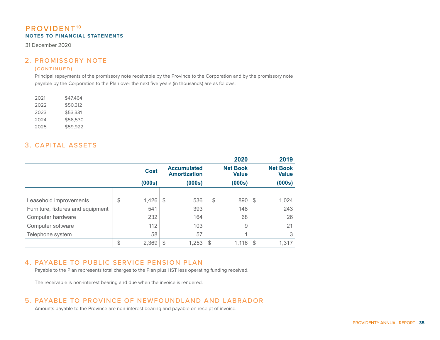31 December 2020

# 2. PROMISSORY NOTE

#### (continued)

Principal repayments of the promissory note receivable by the Province to the Corporation and by the promissory note payable by the Corporation to the Plan over the next five years (in thousands) are as follows:

| 2021 | \$47.464 |
|------|----------|
| 2022 | \$50.312 |
| 2023 | \$53,331 |
| 2024 | \$56,530 |
| 2025 | \$59.922 |

# 3. CAPITAL ASSETS

|                                   |             |                                           |    | 2020                            | 2019                            |
|-----------------------------------|-------------|-------------------------------------------|----|---------------------------------|---------------------------------|
|                                   | <b>Cost</b> | <b>Accumulated</b><br><b>Amortization</b> |    | <b>Net Book</b><br><b>Value</b> | <b>Net Book</b><br><b>Value</b> |
|                                   | (000s)      | (000s)                                    |    | (000s)                          | (000s)                          |
|                                   |             |                                           |    |                                 |                                 |
| Leasehold improvements            | \$<br>1,426 | \$<br>536                                 | \$ | 890                             | \$<br>1,024                     |
| Furniture, fixtures and equipment | 541         | 393                                       |    | 148                             | 243                             |
| Computer hardware                 | 232         | 164                                       |    | 68                              | 26                              |
| Computer software                 | 112         | 103                                       |    | 9                               | 21                              |
| Telephone system                  | 58          | 57                                        |    | и                               | 3                               |
|                                   | \$<br>2,369 | \$<br>1,253                               | S  | 1,116                           | 1,317                           |

# 4. PAYABLE TO PUBLIC SERVICE PENSION PLAN

Payable to the Plan represents total charges to the Plan plus HST less operating funding received.

The receivable is non-interest bearing and due when the invoice is rendered.

# 5. PAYABLE TO PROVINCE OF NEWFOUNDLAND AND LABRADOR

Amounts payable to the Province are non-interest bearing and payable on receipt of invoice.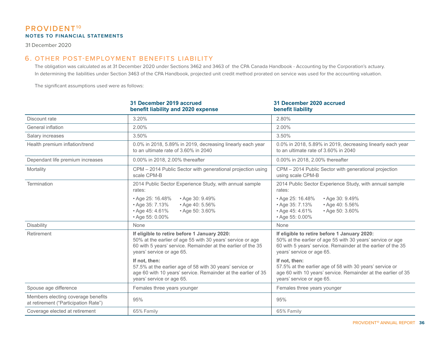31 December 2020

# 6. OTHER POST-EMPLOYMENT BENEFITS LIABILITY

The obligation was calculated as at 31 December 2020 under Sections 3462 and 3463 of the CPA Canada Handbook - Accounting by the Corporation's actuary. In determining the liabilities under Section 3463 of the CPA Handbook, projected unit credit method prorated on service was used for the accounting valuation.

The significant assumptions used were as follows:

|                                                                            | 31 December 2019 accrued<br>benefit liability and 2020 expense                                                                                                                                          | 31 December 2020 accrued<br>benefit liability                                                                                                                                                           |
|----------------------------------------------------------------------------|---------------------------------------------------------------------------------------------------------------------------------------------------------------------------------------------------------|---------------------------------------------------------------------------------------------------------------------------------------------------------------------------------------------------------|
| Discount rate                                                              | 3.20%                                                                                                                                                                                                   | 2.80%                                                                                                                                                                                                   |
| General inflation                                                          | 2.00%                                                                                                                                                                                                   | 2.00%                                                                                                                                                                                                   |
| Salary increases                                                           | 3.50%                                                                                                                                                                                                   | 3.50%                                                                                                                                                                                                   |
| Health premium inflation/trend                                             | 0.0% in 2018, 5.89% in 2019, decreasing linearly each year<br>to an ultimate rate of 3.60% in 2040                                                                                                      | 0.0% in 2018, 5.89% in 2019, decreasing linearly each year<br>to an ultimate rate of 3.60% in 2040                                                                                                      |
| Dependant life premium increases                                           | 0.00% in 2018, 2.00% thereafter                                                                                                                                                                         | 0.00% in 2018, 2.00% thereafter                                                                                                                                                                         |
| Mortality                                                                  | CPM - 2014 Public Sector with generational projection using<br>scale CPM-B                                                                                                                              | CPM - 2014 Public Sector with generational projection<br>using scale CPM-B                                                                                                                              |
| Termination                                                                | 2014 Public Sector Experience Study, with annual sample<br>rates:                                                                                                                                       | 2014 Public Sector Experience Study, with annual sample<br>rates:                                                                                                                                       |
|                                                                            | • Age 25: 16.48%<br>• Age 30: 9.49%<br>• Age 35: 7.13%<br>• Age 40: 5.56%<br>• Age 45: 4.61%<br>• Age 50: 3.60%<br>• Age 55: 0.00%                                                                      | • Age 30: 9.49%<br>• Age 25: 16.48%<br>• Age 35: 7.13%<br>• Age 40: 5.56%<br>• Age 45: 4.61%<br>• Age 50: 3.60%<br>• Age 55: 0.00%                                                                      |
| Disability                                                                 | None                                                                                                                                                                                                    | None                                                                                                                                                                                                    |
| Retirement                                                                 | If eligible to retire before 1 January 2020:<br>50% at the earlier of age 55 with 30 years' service or age<br>60 with 5 years' service. Remainder at the earlier of the 35<br>years' service or age 65. | If eligible to retire before 1 January 2020:<br>50% at the earlier of age 55 with 30 years' service or age<br>60 with 5 years' service. Remainder at the earlier of the 35<br>years' service or age 65. |
|                                                                            | If not, then:<br>57.5% at the earlier age of 58 with 30 years' service or<br>age 60 with 10 years' service. Remainder at the earlier of 35<br>years' service or age 65.                                 | If not, then:<br>57.5% at the earlier age of 58 with 30 years' service or<br>age 60 with 10 years' service. Remainder at the earlier of 35<br>years' service or age 65.                                 |
| Spouse age difference                                                      | Females three years younger                                                                                                                                                                             | Females three years younger                                                                                                                                                                             |
| Members electing coverage benefits<br>at retirement ("Participation Rate") | 95%                                                                                                                                                                                                     | 95%                                                                                                                                                                                                     |
| Coverage elected at retirement                                             | 65% Family                                                                                                                                                                                              | 65% Family                                                                                                                                                                                              |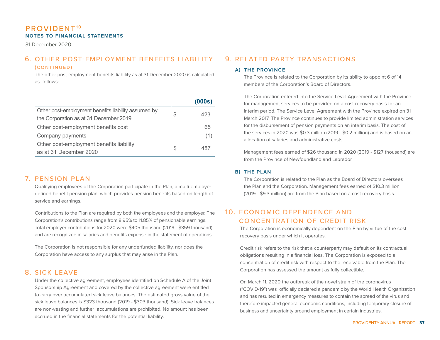31 December 2020

# 6. OTHER POST-EMPLOYMENT BENEFITS LIABILITY

#### (continued)

The other post-employment benefits liability as at 31 December 2020 is calculated as follows:

|                                                                                               |   | (000s) |
|-----------------------------------------------------------------------------------------------|---|--------|
| Other post-employment benefits liability assumed by<br>the Corporation as at 31 December 2019 | S | 423    |
| Other post-employment benefits cost                                                           |   | 65     |
| Company payments                                                                              |   |        |
| Other post-employment benefits liability                                                      | S | 487    |
| as at 31 December 2020                                                                        |   |        |

# 7. PENSION PLAN

Qualifying employees of the Corporation participate in the Plan, a multi-employer defined benefit pension plan, which provides pension benefits based on length of service and earnings.

Contributions to the Plan are required by both the employees and the employer. The Corporation's contributions range from 8.95% to 11.85% of pensionable earnings. Total employer contributions for 2020 were \$405 thousand (2019 - \$359 thousand) and are recognized in salaries and benefits expense in the statement of operations.

The Corporation is not responsible for any underfunded liability, nor does the Corporation have access to any surplus that may arise in the Plan.

## 8. SICK LEAVE

Under the collective agreement, employees identified on Schedule A of the Joint Sponsorship Agreement and covered by the collective agreement were entitled to carry over accumulated sick leave balances. The estimated gross value of the sick leave balances is \$323 thousand (2019 - \$303 thousand). Sick leave balances are non-vesting and further accumulations are prohibited. No amount has been accrued in the financial statements for the potential liability.

# 9. RELATED PARTY TRANSACTIONS

#### **A) THE PROVINCE**

The Province is related to the Corporation by its ability to appoint 6 of 14 members of the Corporation's Board of Directors.

The Corporation entered into the Service Level Agreement with the Province for management services to be provided on a cost recovery basis for an interim period. The Service Level Agreement with the Province expired on 31 March 2017. The Province continues to provide limited administration services for the disbursement of pension payments on an interim basis. The cost of the services in 2020 was \$0.3 million (2019 - \$0.2 million) and is based on an allocation of salaries and administrative costs.

Management fees earned of \$26 thousand in 2020 (2019 - \$127 thousand) are from the Province of Newfoundland and Labrador.

#### **B) THE PLAN**

The Corporation is related to the Plan as the Board of Directors oversees the Plan and the Corporation. Management fees earned of \$10.3 million (2019 - \$9.3 million) are from the Plan based on a cost recovery basis.

# 10. ECONOMIC DEPENDENCE AND CONCENTRATION OF CREDIT RISK

The Corporation is economically dependent on the Plan by virtue of the cost recovery basis under which it operates.

Credit risk refers to the risk that a counterparty may default on its contractual obligations resulting in a financial loss. The Corporation is exposed to a concentration of credit risk with respect to the receivable from the Plan. The Corporation has assessed the amount as fully collectible.

On March 11, 2020 the outbreak of the novel strain of the coronavirus ("COVID-19") was officially declared a pandemic by the World Health Organization and has resulted in emergency measures to contain the spread of the virus and therefore impacted general economic conditions, including temporary closure of business and uncertainty around employment in certain industries.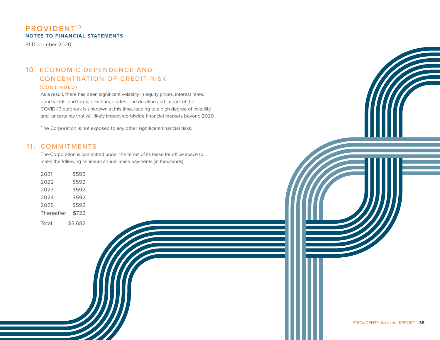31 December 2020

# 10. ECONOMIC DEPENDENCE AND CONCENTRATION OF CREDIT RISK (continued)

As a result, there has been significant volatility in equity prices, interest rates, bond yields, and foreign exchange rates. The duration and impact of the COVID-19 outbreak is unknown at this time, leading to a high degree of volatility and uncertainty that will likely impact worldwide financial markets beyond 2020.

The Corporation is not exposed to any other significant financial risks.

# 11. COMMITMENTS

The Corporation is committed under the terms of its lease for office space to make the following minimum annual lease payments (in thousands):

| 2021       | \$592   |
|------------|---------|
| 2022       | \$592   |
| 2023       | \$592   |
| 2024       | \$592   |
| 2025       | \$592   |
| Thereafter | \$722   |
| Total      | \$3,682 |
|            |         |
|            |         |
|            |         |